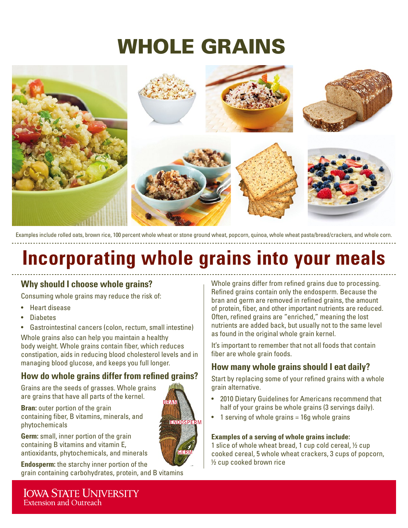# WHOLE GRAINS



Examples include rolled oats, brown rice, 100 percent whole wheat or stone ground wheat, popcorn, quinoa, whole wheat pasta/bread/crackers, and whole corn.

## **Incorporating whole grains into your meals**

#### **Why should I choose whole grains?**

Consuming whole grains may reduce the risk of:

- Heart disease
- Diabetes
- Gastrointestinal cancers (colon, rectum, small intestine)

Whole grains also can help you maintain a healthy body weight. Whole grains contain fiber, which reduces constipation, aids in reducing blood cholesterol levels and in managing blood glucose, and keeps you full longer.

### **How do whole grains differ from refined grains?**

Grains are the seeds of grasses. Whole grains are grains that have all parts of the kernel.

**Bran:** outer portion of the grain containing fiber, B vitamins, minerals, and phytochemicals

**Germ:** small, inner portion of the grain containing B vitamins and vitamin E, antioxidants, phytochemicals, and minerals

**Endosperm:** the starchy inner portion of the grain containing carbohydrates, protein, and B vitamins Whole grains differ from refined grains due to processing. Refined grains contain only the endosperm. Because the bran and germ are removed in refined grains, the amount of protein, fiber, and other important nutrients are reduced. Often, refined grains are "enriched," meaning the lost nutrients are added back, but usually not to the same level as found in the original whole grain kernel.

It's important to remember that not all foods that contain fiber are whole grain foods.

### **How many whole grains should I eat daily?**

Start by replacing some of your refined grains with a whole grain alternative.

- 2010 Dietary Guidelines for Americans recommend that half of your grains be whole grains (3 servings daily).
- 1 serving of whole grains = 16g whole grains

#### **Examples of a serving of whole grains include:**

1 slice of whole wheat bread, 1 cup cold cereal, ½ cup cooked cereal, 5 whole wheat crackers, 3 cups of popcorn, ½ cup cooked brown rice

**IOWA STATE UNIVERSITY Extension and Outreach** 

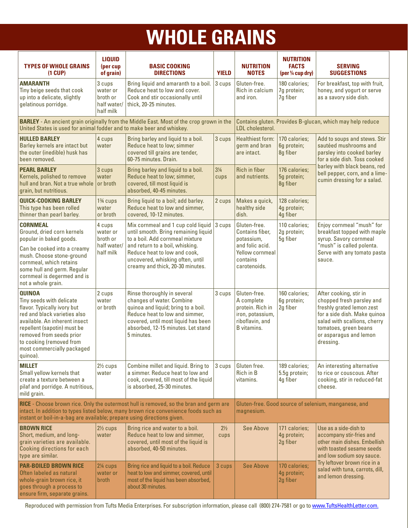# **WHOLE GRAINS**

| <b>TYPES OF WHOLE GRAINS</b><br>$(1$ CUP $)$                                                                                                                                                                                                                               | <b>LIQUID</b><br>(per cup<br>of grain)                                                                                                                                         | <b>BASIC COOKING</b><br><b>DIRECTIONS</b>                                                                                                                                                                                                                | <b>YIELD</b>                                                                         | <b>NUTRITION</b><br><b>NOTES</b>                                                                                       | <b>NUTRITION</b><br><b>FACTS</b><br>(per 1/4 cup dry) | <b>SERVING</b><br><b>SUGGESTIONS</b>                                                                                                                                                                                                  |  |
|----------------------------------------------------------------------------------------------------------------------------------------------------------------------------------------------------------------------------------------------------------------------------|--------------------------------------------------------------------------------------------------------------------------------------------------------------------------------|----------------------------------------------------------------------------------------------------------------------------------------------------------------------------------------------------------------------------------------------------------|--------------------------------------------------------------------------------------|------------------------------------------------------------------------------------------------------------------------|-------------------------------------------------------|---------------------------------------------------------------------------------------------------------------------------------------------------------------------------------------------------------------------------------------|--|
| <b>AMARANTH</b><br>Tiny beige seeds that cook<br>up into a delicate, slightly<br>gelatinous porridge.                                                                                                                                                                      | 3 cups<br>water or<br>broth or<br>half water/<br>half milk                                                                                                                     | Bring liquid and amaranth to a boil.<br>Reduce heat to low and cover.<br>Cook and stir occasionally until<br>thick, 20-25 minutes.                                                                                                                       | 3 cups                                                                               | Gluten-free.<br>Rich in calcium<br>and iron.                                                                           | 180 calories;<br>7g protein;<br>7g fiber              | For breakfast, top with fruit,<br>honey, and yogurt or serve<br>as a savory side dish.                                                                                                                                                |  |
| United States is used for animal fodder and to make beer and whiskey.                                                                                                                                                                                                      |                                                                                                                                                                                | <b>BARLEY</b> - An ancient grain originally from the Middle East. Most of the crop grown in the                                                                                                                                                          | Contains gluten. Provides B-glucan, which may help reduce<br><b>IDI</b> cholesterol. |                                                                                                                        |                                                       |                                                                                                                                                                                                                                       |  |
| <b>HULLED BARLEY</b><br>Barley kernels are intact but<br>the outer (inedible) husk has<br>been removed.                                                                                                                                                                    | 4 cups<br>water                                                                                                                                                                | Bring barley and liquid to a boil.<br>Reduce heat to low; simmer<br>covered till grains are tender,<br>60-75 minutes. Drain.                                                                                                                             | 3 cups                                                                               | <b>Healthiest form:</b><br>germ and bran<br>are intact.                                                                | 170 calories;<br>6g protein;<br>8g fiber              | Add to soups and stews. Stir<br>sautéed mushrooms and<br>parsley into cooked barley<br>for a side dish. Toss cooked                                                                                                                   |  |
| <b>PEARL BARLEY</b><br>Kernels, polished to remove<br>hull and bran. Not a true whole<br>grain, but nutritious.                                                                                                                                                            | 3 cups<br>water<br>or broth                                                                                                                                                    | Bring barley and liquid to a boil.<br>Reduce heat to low; simmer,<br>covered, till most liquid is<br>absorbed, 40-45 minutes.                                                                                                                            | $3\frac{1}{4}$<br>cups                                                               | <b>Rich in fiber</b><br>and nutrients.                                                                                 | 176 calories;<br>5g protein;<br>8g fiber              | barley with black beans, red<br>bell pepper, corn, and a lime-<br>cumin dressing for a salad.                                                                                                                                         |  |
| <b>QUICK-COOKING BARLEY</b><br>This type has been rolled<br>thinner than pearl barley.                                                                                                                                                                                     | 1 <sup>3</sup> / <sub>4</sub> cups<br>water<br>or broth                                                                                                                        | Bring liquid to a boil; add barley.<br>Reduce heat to low and simmer,<br>covered, 10-12 minutes.                                                                                                                                                         | 2 cups                                                                               | Makes a quick,<br>healthy side<br>dish.                                                                                | 128 calories;<br>4g protein;<br>4g fiber              |                                                                                                                                                                                                                                       |  |
| <b>CORNMEAL</b><br>Ground, dried corn kernels<br>popular in baked goods.<br>Can be cooked into a creamy<br>mush. Choose stone-ground<br>cornmeal, which retains<br>some hull and germ. Regular<br>cornmeal is degermed and is<br>not a whole grain.                        | 4 cups<br>water or<br>broth or<br>half water/<br>half milk                                                                                                                     | Mix cornmeal and 1 cup cold liquid<br>until smooth. Bring remaining liquid<br>to a boil. Add cornmeal mixture<br>and return to a boil, whisking.<br>Reduce heat to low and cook,<br>uncovered, whisking often, until<br>creamy and thick, 20-30 minutes. | 3 cups                                                                               | Gluten-free.<br>Contains fiber,<br>potassium,<br>and folic acid.<br><b>Yellow cornmeal</b><br>contains<br>carotenoids. | 110 calories;<br>2g protein;<br>5g fiber              | Enjoy cornmeal "mush" for<br>breakfast topped with maple<br>syrup. Savory cornmeal<br>"mush" is called polenta.<br>Serve with any tomato pasta<br>sauce.                                                                              |  |
| <b>QUINOA</b><br>Tiny seeds with delicate<br>flavor. Typically ivory but<br>red and black varieties also<br>available. An inherent insect<br>repellent (sapotin) must be<br>removed from seeds prior<br>to cooking (removed from<br>most commercially packaged<br>quinoa). | 2 cups<br>water<br>or broth                                                                                                                                                    | Rinse thoroughly in several<br>changes of water. Combine<br>quinoa and liquid; bring to a boil.<br>Reduce heat to low and simmer,<br>covered, until most liquid has been<br>absorbed, 12-15 minutes. Let stand<br>5 minutes.                             | 3 cups                                                                               | Gluten-free.<br>A complete<br>protein. Rich in<br>iron, potassium,<br>riboflavin, and<br>B vitamins.                   | 160 calories;<br>6g protein;<br>2g fiber              | After cooking, stir in<br>chopped fresh parsley and<br>freshly grated lemon zest<br>for a side dish. Make quinoa<br>salad with scallions, cherry<br>tomatoes, green beans<br>or asparagus and lemon<br>dressing.                      |  |
| <b>MILLET</b><br>Small yellow kernels that<br>create a texture between a<br>pilaf and porridge. A nutritious,<br>mild grain.                                                                                                                                               | $2\frac{1}{2}$ cups<br>water                                                                                                                                                   | Combine millet and liquid. Bring to<br>a simmer. Reduce heat to low and<br>cook, covered, till most of the liquid<br>is absorbed, 25-30 minutes.                                                                                                         | 3 cups                                                                               | Gluten free.<br>Rich in B<br>vitamins.                                                                                 | 189 calories;<br>5.5g protein;<br>4g fiber            | An interesting alternative<br>to rice or couscous. After<br>cooking, stir in reduced-fat<br>cheese.                                                                                                                                   |  |
| instant or boil-in-a-bag are available; prepare using directions given.                                                                                                                                                                                                    | RICE - Choose brown rice. Only the outermost hull is removed, so the bran and germ are<br>intact. In addition to types listed below, many brown rice convenience foods such as | Gluten-free. Good source of selenium, manganese, and<br>magnesium.                                                                                                                                                                                       |                                                                                      |                                                                                                                        |                                                       |                                                                                                                                                                                                                                       |  |
| <b>BROWN RICE</b><br>Short, medium, and long-<br>grain varieties are available.<br>Cooking directions for each<br>type are similar.                                                                                                                                        | $2\frac{1}{2}$ cups<br>water                                                                                                                                                   | Bring rice and water to a boil.<br>Reduce heat to low and simmer,<br>covered, until most of the liquid is<br>absorbed, 40-50 minutes.                                                                                                                    | $2\frac{1}{2}$<br>cups                                                               | <b>See Above</b>                                                                                                       | 171 calories;<br>4g protein;<br>2g fiber              | Use as a side-dish to<br>accompany stir-fries and<br>other main dishes. Embellish<br>with toasted sesame seeds<br>and low sodium soy sauce.<br>Try leftover brown rice in a<br>salad with tuna, carrots, dill,<br>and lemon dressing. |  |
| <b>PAR-BOILED BROWN RICE</b><br>Often labeled as natural<br>whole-grain brown rice, it<br>goes through a process to<br>ensure firm, separate grains.                                                                                                                       | $2\%$ cups<br>water or<br>broth                                                                                                                                                | Bring rice and liquid to a boil. Reduce<br>heat to low and simmer, covered, until<br>most of the liquid has been absorbed,<br>about 30 minutes.                                                                                                          | 3 cups                                                                               | <b>See Above</b>                                                                                                       | 170 calories;<br>4g protein;<br>2g fiber              |                                                                                                                                                                                                                                       |  |

Reproduced with permission from Tufts Media Enterprises. For subscription information, please call (800) 274-7581 or go to [www.TuftsHealthLetter.com](http://www.TuftsHealthLetter.com).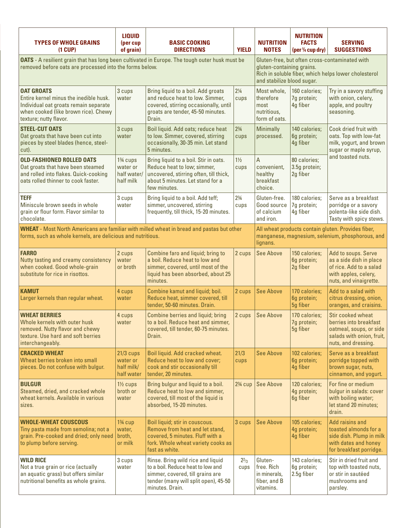| <b>TYPES OF WHOLE GRAINS</b><br>$(1$ CUP $)$                                                                                                                           | <b>LIQUID</b><br>(per cup<br>of grain)                                                                                                                            | <b>BASIC COOKING</b><br><b>DIRECTIONS</b>                                                                                                                             | <b>YIELD</b>           | <b>NUTRITION</b><br><b>NOTES</b>                                   | <b>NUTRITION</b><br><b>FACTS</b><br>(per $\frac{1}{4}$ cup dry) | <b>SERVING</b><br><b>SUGGESTIONS</b>                                                                                        |  |
|------------------------------------------------------------------------------------------------------------------------------------------------------------------------|-------------------------------------------------------------------------------------------------------------------------------------------------------------------|-----------------------------------------------------------------------------------------------------------------------------------------------------------------------|------------------------|--------------------------------------------------------------------|-----------------------------------------------------------------|-----------------------------------------------------------------------------------------------------------------------------|--|
| <b>OATS</b> - A resilient grain that has long been cultivated in Europe. The tough outer husk must be<br>removed before oats are processed into the forms below.       | Gluten-free, but often cross-contaminated with<br>gluten-containing grains.<br>Rich in soluble fiber, which helps lower cholesterol<br>and stabilize blood sugar. |                                                                                                                                                                       |                        |                                                                    |                                                                 |                                                                                                                             |  |
| <b>OAT GROATS</b><br>Entire kernel minus the inedible husk.<br>Individual oat groats remain separate<br>when cooked (like brown rice). Chewy<br>texture; nutty flavor. | 3 cups<br>water                                                                                                                                                   | Bring liquid to a boil. Add groats<br>and reduce heat to low. Simmer,<br>covered, stirring occasionally, until<br>groats are tender, 45-50 minutes.<br>Drain.         | $2\frac{1}{4}$<br>cups | Most whole.<br>therefore<br>most<br>nutritious,<br>form of oats.   | 160 calories;<br>7g protein;<br>4g fiber                        | Try in a savory stuffing<br>with onion, celery,<br>apple, and poultry<br>seasoning.                                         |  |
| <b>STEEL-CUT OATS</b><br>Oat groats that have been cut into<br>pieces by steel blades (hence, steel-<br>cut).                                                          | 3 cups<br>water                                                                                                                                                   | Boil liquid. Add oats; reduce heat<br>to low. Simmer, covered, stirring<br>occasionally, 30-35 min. Let stand<br>5 minutes.                                           | $2\frac{3}{4}$<br>cups | <b>Minimally</b><br>processed.                                     | 140 calories;<br>6g protein;<br>4g fiber                        | Cook dried fruit with<br>oats. Top with low-fat<br>milk, yogurt, and brown<br>sugar or maple syrup,<br>and toasted nuts.    |  |
| <b>OLD-FASHIONED ROLLED OATS</b><br>Oat groats that have been steamed<br>and rolled into flakes. Quick-cooking<br>oats rolled thinner to cook faster.                  | 1 <sup>3</sup> / <sub>4</sub> cups<br>water or<br>half water/<br>half milk                                                                                        | Bring liquid to a boil. Stir in oats.<br>Reduce heat to low; simmer,<br>uncovered, stirring often, till thick,<br>about 5 minutes. Let stand for a<br>few minutes.    | $1\frac{1}{2}$<br>cups | A<br>convenient,<br>healthy<br>breakfast<br>choice.                | 80 calories;<br>3.5g protein;<br>2g fiber                       |                                                                                                                             |  |
| TEFF<br>Miniscule brown seeds in whole<br>grain or flour form. Flavor similar to<br>chocolate.                                                                         | 3 cups<br>water                                                                                                                                                   | Bring liquid to a boil. Add teff;<br>simmer, uncovered, stirring<br>frequently, till thick, 15-20 minutes.                                                            | $2\frac{3}{4}$<br>cups | Gluten-free.<br>Good source<br>of calcium<br>and iron.             | 180 calories;<br>7g protein;<br>4g fiber                        | Serve as a breakfast<br>porridge or a savory<br>polenta-like side dish.<br>Tasty with spicy stews.                          |  |
| <b>WHEAT</b> - Most North Americans are familiar with milled wheat in bread and pastas but other<br>forms, such as whole kernels, are delicious and nutritious.        | All wheat products contain gluten. Provides fiber,<br>manganese, magnesium, selenium, phosphorous, and<br>lignans.                                                |                                                                                                                                                                       |                        |                                                                    |                                                                 |                                                                                                                             |  |
| <b>FARRO</b><br>Nutty tasting and creamy consistency<br>when cooked. Good whole-grain<br>substitute for rice in risottos.                                              | 2 cups<br>water<br>or broth                                                                                                                                       | Combine faro and liquid; bring to<br>a boil. Reduce heat to low and<br>simmer, covered, until most of the<br>liquid has been absorbed, about 25<br>minutes.           | 2 cups                 | <b>See Above</b>                                                   | 150 calories;<br>6g protein;<br>2g fiber                        | Add to soups. Serve<br>as a side dish in place<br>of rice. Add to a salad<br>with apples, celery,<br>nuts, and vinaigrette. |  |
| <b>KAMUT</b><br>Larger kernels than regular wheat.                                                                                                                     | 4 cups<br>water                                                                                                                                                   | Combine kamut and liquid; boil.<br>Reduce heat, simmer covered, till<br>tender, 50-60 minutes. Drain.                                                                 | 2 cups                 | <b>See Above</b>                                                   | 170 calories;<br>6g protein;<br>5g fiber                        | Add to a salad with<br>citrus dressing, onion,<br>oranges, and craisins.                                                    |  |
| <b>WHEAT BERRIES</b><br>Whole kernels with outer husk<br>removed. Nutty flavor and chewy<br>texture. Use hard and soft berries<br>interchangeably.                     | 4 cups<br>water                                                                                                                                                   | Combine berries and liquid; bring<br>to a boil. Reduce heat and simmer,<br>covered, till tender, 60-75 minutes.<br>Drain.                                             | 2 cups                 | <b>See Above</b>                                                   | 170 calories;<br>7g protein;<br>5g fiber                        | Stir cooked wheat<br>berries into breakfast<br>oatmeal, soups, or side<br>salads with onion, fruit,<br>nuts, and dressing.  |  |
| <b>CRACKED WHEAT</b><br>Wheat berries broken into small<br>pieces. Do not confuse with bulgur.                                                                         | $21/3$ cups<br>water or<br>half milk/<br>half water                                                                                                               | Boil liquid. Add cracked wheat.<br>Reduce heat to low and cover;<br>cook and stir occasionally till<br>tender, 20 minutes.                                            | 21/3<br>cups           | <b>See Above</b>                                                   | 102 calories;<br>6g protein;<br>4g fiber                        | Serve as a breakfast<br>porridge topped with<br>brown sugar, nuts,<br>cinnamon, and yogurt.                                 |  |
| <b>BULGUR</b><br>Steamed, dried, and cracked whole<br>wheat kernels. Available in various<br>sizes.                                                                    | $1\frac{1}{2}$ cups<br>broth or<br>water                                                                                                                          | Bring bulgur and liquid to a boil.<br>Reduce heat to low and simmer,<br>covered, till most of the liquid is<br>absorbed, 15-20 minutes.                               | $2\frac{3}{4}$ cup     | <b>See Above</b>                                                   | 120 calories;<br>4g protein;<br>6g fiber                        | For fine or medium<br>bulgur in salads: cover<br>with boiling water;<br>let stand 20 minutes;<br>drain.                     |  |
| <b>WHOLE-WHEAT COUSCOUS</b><br>Tiny pasta made from semolina; not a<br>grain. Pre-cooked and dried; only need<br>to plump before serving.                              | $1\%$ cup<br>water,<br>broth,<br>or milk                                                                                                                          | Boil liquid; stir in couscous.<br>Remove from heat and let stand,<br>covered, 5 minutes. Fluff with a<br>fork. Whole wheat variety cooks as<br>fast as white.         | 3 cups                 | <b>See Above</b>                                                   | 105 calories;<br>4g protein;<br>4g fiber                        | Add raisins and<br>toasted almonds for a<br>side dish. Plump in milk<br>with dates and honey<br>for breakfast porridge.     |  |
| <b>WILD RICE</b><br>Not a true grain or rice (actually<br>an aquatic grass) but offers similar<br>nutritional benefits as whole grains.                                | 3 cups<br>water                                                                                                                                                   | Rinse. Bring wild rice and liquid<br>to a boil. Reduce heat to low and<br>simmer, covered, till grains are<br>tender (many will split open), 45-50<br>minutes. Drain. | $2^{2}/3$<br>cups      | Gluten-<br>free. Rich<br>in minerals,<br>fiber, and B<br>vitamins. | 143 calories;<br>6g protein;<br>2.5g fiber                      | Stir in dried fruit and<br>top with toasted nuts,<br>or stir in sautéed<br>mushrooms and<br>parsley.                        |  |